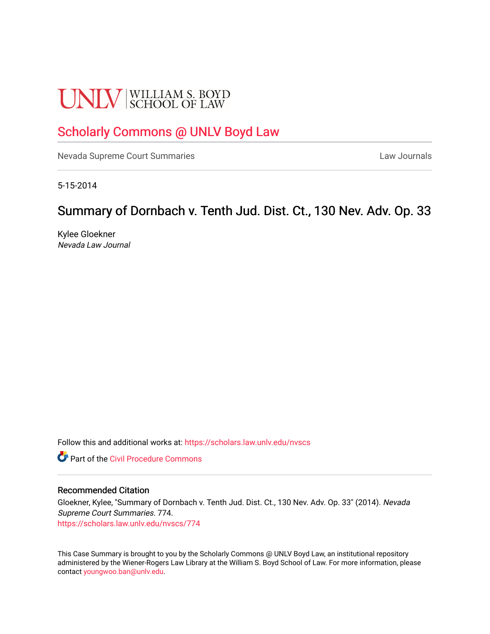# **UNLV** SCHOOL OF LAW

# [Scholarly Commons @ UNLV Boyd Law](https://scholars.law.unlv.edu/)

[Nevada Supreme Court Summaries](https://scholars.law.unlv.edu/nvscs) **Law Journals** Law Journals

5-15-2014

# Summary of Dornbach v. Tenth Jud. Dist. Ct., 130 Nev. Adv. Op. 33

Kylee Gloekner Nevada Law Journal

Follow this and additional works at: [https://scholars.law.unlv.edu/nvscs](https://scholars.law.unlv.edu/nvscs?utm_source=scholars.law.unlv.edu%2Fnvscs%2F774&utm_medium=PDF&utm_campaign=PDFCoverPages)

**C** Part of the Civil Procedure Commons

#### Recommended Citation

Gloekner, Kylee, "Summary of Dornbach v. Tenth Jud. Dist. Ct., 130 Nev. Adv. Op. 33" (2014). Nevada Supreme Court Summaries. 774. [https://scholars.law.unlv.edu/nvscs/774](https://scholars.law.unlv.edu/nvscs/774?utm_source=scholars.law.unlv.edu%2Fnvscs%2F774&utm_medium=PDF&utm_campaign=PDFCoverPages)

This Case Summary is brought to you by the Scholarly Commons @ UNLV Boyd Law, an institutional repository administered by the Wiener-Rogers Law Library at the William S. Boyd School of Law. For more information, please contact [youngwoo.ban@unlv.edu](mailto:youngwoo.ban@unlv.edu).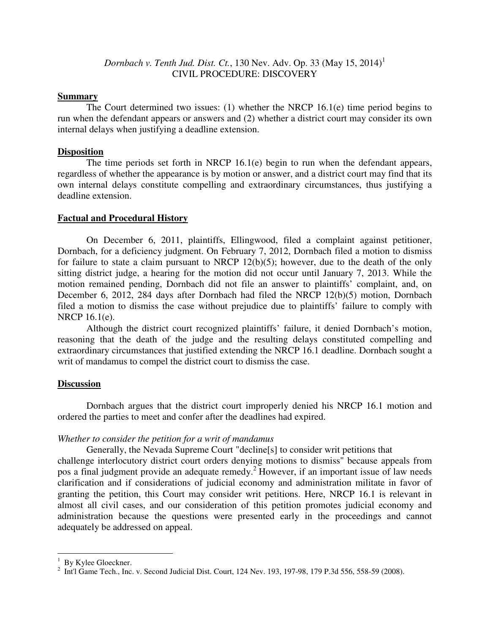*Dornbach v. Tenth Jud. Dist. Ct.*, 130 Nev. Adv. Op. 33 (May 15, 2014)<sup>1</sup> CIVIL PROCEDURE: DISCOVERY

#### **Summary**

 The Court determined two issues: (1) whether the NRCP 16.1(e) time period begins to run when the defendant appears or answers and (2) whether a district court may consider its own internal delays when justifying a deadline extension.

#### **Disposition**

 The time periods set forth in NRCP 16.1(e) begin to run when the defendant appears, regardless of whether the appearance is by motion or answer, and a district court may find that its own internal delays constitute compelling and extraordinary circumstances, thus justifying a deadline extension.

## **Factual and Procedural History**

 On December 6, 2011, plaintiffs, Ellingwood, filed a complaint against petitioner, Dornbach, for a deficiency judgment. On February 7, 2012, Dornbach filed a motion to dismiss for failure to state a claim pursuant to NRCP  $12(b)(5)$ ; however, due to the death of the only sitting district judge, a hearing for the motion did not occur until January 7, 2013. While the motion remained pending, Dornbach did not file an answer to plaintiffs' complaint, and, on December 6, 2012, 284 days after Dornbach had filed the NRCP 12(b)(5) motion, Dornbach filed a motion to dismiss the case without prejudice due to plaintiffs' failure to comply with NRCP 16.1(e).

 Although the district court recognized plaintiffs' failure, it denied Dornbach's motion, reasoning that the death of the judge and the resulting delays constituted compelling and extraordinary circumstances that justified extending the NRCP 16.1 deadline. Dornbach sought a writ of mandamus to compel the district court to dismiss the case.

## **Discussion**

 Dornbach argues that the district court improperly denied his NRCP 16.1 motion and ordered the parties to meet and confer after the deadlines had expired.

## *Whether to consider the petition for a writ of mandamus*

 Generally, the Nevada Supreme Court "decline[s] to consider writ petitions that challenge interlocutory district court orders denying motions to dismiss" because appeals from pos a final judgment provide an adequate remedy.<sup>2</sup> However, if an important issue of law needs clarification and if considerations of judicial economy and administration militate in favor of granting the petition, this Court may consider writ petitions. Here, NRCP 16.1 is relevant in almost all civil cases, and our consideration of this petition promotes judicial economy and administration because the questions were presented early in the proceedings and cannot adequately be addressed on appeal.

 1 By Kylee Gloeckner.

<sup>&</sup>lt;sup>2</sup> Int'l Game Tech., Inc. v. Second Judicial Dist. Court, 124 Nev. 193, 197-98, 179 P.3d 556, 558-59 (2008).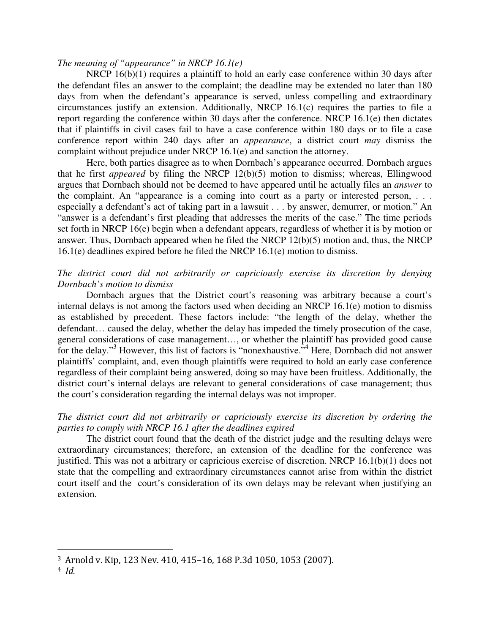#### *The meaning of "appearance" in NRCP 16.1(e)*

NRCP  $16(b)(1)$  requires a plaintiff to hold an early case conference within 30 days after the defendant files an answer to the complaint; the deadline may be extended no later than 180 days from when the defendant's appearance is served, unless compelling and extraordinary circumstances justify an extension. Additionally, NRCP 16.1(c) requires the parties to file a report regarding the conference within 30 days after the conference. NRCP 16.1(e) then dictates that if plaintiffs in civil cases fail to have a case conference within 180 days or to file a case conference report within 240 days after an *appearance*, a district court *may* dismiss the complaint without prejudice under NRCP 16.1(e) and sanction the attorney.

 Here, both parties disagree as to when Dornbach's appearance occurred. Dornbach argues that he first *appeared* by filing the NRCP 12(b)(5) motion to dismiss; whereas, Ellingwood argues that Dornbach should not be deemed to have appeared until he actually files an *answer* to the complaint. An "appearance is a coming into court as a party or interested person, . . . especially a defendant's act of taking part in a lawsuit . . . by answer, demurrer, or motion." An "answer is a defendant's first pleading that addresses the merits of the case." The time periods set forth in NRCP 16(e) begin when a defendant appears, regardless of whether it is by motion or answer. Thus, Dornbach appeared when he filed the NRCP 12(b)(5) motion and, thus, the NRCP 16.1(e) deadlines expired before he filed the NRCP 16.1(e) motion to dismiss.

## *The district court did not arbitrarily or capriciously exercise its discretion by denying Dornbach's motion to dismiss*

 Dornbach argues that the District court's reasoning was arbitrary because a court's internal delays is not among the factors used when deciding an NRCP 16.1(e) motion to dismiss as established by precedent. These factors include: "the length of the delay, whether the defendant… caused the delay, whether the delay has impeded the timely prosecution of the case, general considerations of case management…, or whether the plaintiff has provided good cause for the delay."<sup>3</sup> However, this list of factors is "nonexhaustive."<sup>4</sup> Here, Dornbach did not answer plaintiffs' complaint, and, even though plaintiffs were required to hold an early case conference regardless of their complaint being answered, doing so may have been fruitless. Additionally, the district court's internal delays are relevant to general considerations of case management; thus the court's consideration regarding the internal delays was not improper.

# *The district court did not arbitrarily or capriciously exercise its discretion by ordering the parties to comply with NRCP 16.1 after the deadlines expired*

 The district court found that the death of the district judge and the resulting delays were extraordinary circumstances; therefore, an extension of the deadline for the conference was justified. This was not a arbitrary or capricious exercise of discretion. NRCP 16.1(b)(1) does not state that the compelling and extraordinary circumstances cannot arise from within the district court itself and the court's consideration of its own delays may be relevant when justifying an extension.

<u>.</u>

<sup>3</sup> Arnold v. Kip, 123 Nev. 410, 415–16, 168 P.3d 1050, 1053 (2007).

 $4$  Id.